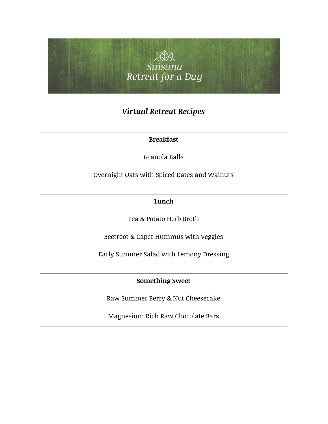

# *Virtual Retreat Recipes*

## **Breakfast**

Granola Balls

Overnight Oats with Spiced Dates and Walnuts

# **Lunch**

Pea & Potato Herb Broth

Beetroot & Caper Hummus with Veggies

Early Summer Salad with Lemony Dressing

# **Something Sweet**

Raw Summer Berry & Nut Cheesecake

Magnesium Rich Raw Chocolate Bars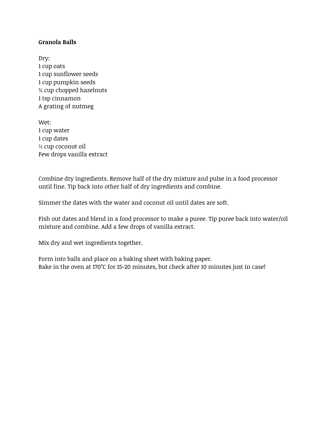#### **Granola Balls**

Dry: 1 cup oats 1 cup sunflower seeds 1 cup pumpkin seeds ¾ cup chopped hazelnuts 1 tsp cinnamon A grating of nutmeg

Wet: 1 cup water 1 cup dates ⅓ cup coconut oil Few drops vanilla extract

Combine dry ingredients. Remove half of the dry mixture and pulse in a food processor until fine. Tip back into other half of dry ingredients and combine.

Simmer the dates with the water and coconut oil until dates are soft.

Fish out dates and blend in a food processor to make a puree. Tip puree back into water/oil mixture and combine. Add a few drops of vanilla extract.

Mix dry and wet ingredients together.

Form into balls and place on a baking sheet with baking paper. Bake in the oven at 170°C for 15-20 minutes, but check after 10 minutes just in case!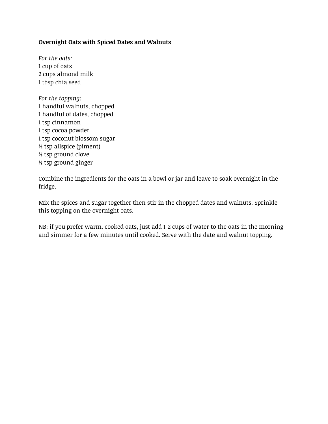### **Overnight Oats with Spiced Dates and Walnuts**

*For the oats:* cup of oats cups almond milk tbsp chia seed

*For the topping:* 1 handful walnuts, chopped 1 handful of dates, chopped 1 tsp cinnamon 1 tsp cocoa powder 1 tsp coconut blossom sugar ½ tsp allspice (piment) ⅛ tsp ground clove ⅛ tsp ground ginger

Combine the ingredients for the oats in a bowl or jar and leave to soak overnight in the fridge.

Mix the spices and sugar together then stir in the chopped dates and walnuts. Sprinkle this topping on the overnight oats.

NB: if you prefer warm, cooked oats, just add 1-2 cups of water to the oats in the morning and simmer for a few minutes until cooked. Serve with the date and walnut topping.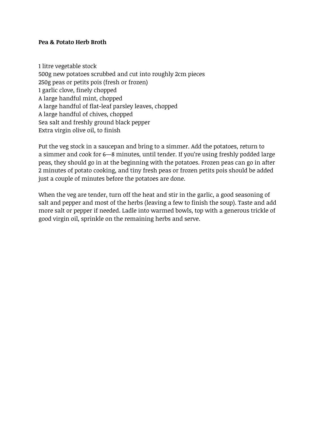#### **Pea & Potato Herb Broth**

1 litre vegetable stock 500g new potatoes scrubbed and cut into roughly 2cm pieces 250g peas or petits pois (fresh or frozen) 1 garlic clove, finely chopped A large handful mint, chopped A large handful of flat-leaf parsley leaves, chopped A large handful of chives, chopped Sea salt and freshly ground black pepper Extra virgin olive oil, to finish

Put the veg stock in a saucepan and bring to a simmer. Add the potatoes, return to a simmer and cook for 6—8 minutes, until tender. If you're using freshly podded large peas, they should go in at the beginning with the potatoes. Frozen peas can go in after 2 minutes of potato cooking, and tiny fresh peas or frozen petits pois should be added just a couple of minutes before the potatoes are done.

When the veg are tender, turn off the heat and stir in the garlic, a good seasoning of salt and pepper and most of the herbs (leaving a few to finish the soup). Taste and add more salt or pepper if needed. Ladle into warmed bowls, top with a generous trickle of good virgin oil, sprinkle on the remaining herbs and serve.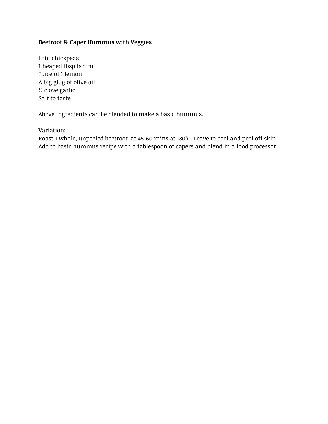### **Beetroot & Caper Hummus with Veggies**

1 tin chickpeas 1 heaped tbsp tahini Juice of 1 lemon A big glug of olive oil ½ clove garlic Salt to taste

Above ingredients can be blended to make a basic hummus.

Variation:

Roast 1 whole, unpeeled beetroot at 45-60 mins at 180°C. Leave to cool and peel off skin. Add to basic hummus recipe with a tablespoon of capers and blend in a food processor.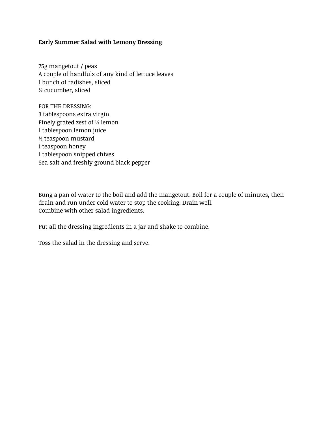#### **Early Summer Salad with Lemony Dressing**

75g mangetout / peas A couple of handfuls of any kind of lettuce leaves 1 bunch of radishes, sliced ½ cucumber, sliced

FOR THE DRESSING: 3 tablespoons extra virgin Finely grated zest of ½ lemon 1 tablespoon lemon juice ½ teaspoon mustard 1 teaspoon honey 1 tablespoon snipped chives Sea salt and freshly ground black pepper

Bung a pan of water to the boil and add the mangetout. Boil for a couple of minutes, then drain and run under cold water to stop the cooking. Drain well. Combine with other salad ingredients.

Put all the dressing ingredients in a jar and shake to combine.

Toss the salad in the dressing and serve.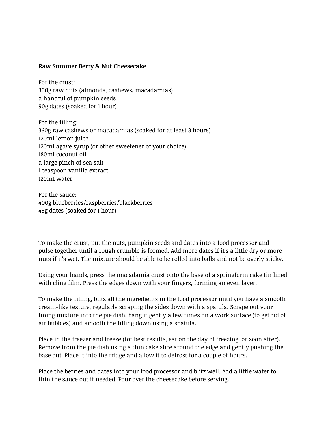#### **Raw Summer Berry & Nut Cheesecake**

For the crust: 300g raw nuts (almonds, cashews, macadamias) a handful of pumpkin seeds 90g dates (soaked for 1 hour)

For the filling: 360g raw cashews or macadamias (soaked for at least 3 hours) 120ml lemon juice 120ml agave syrup (or other sweetener of your choice) 180ml coconut oil a large pinch of sea salt 1 teaspoon vanilla extract 120m1 water

For the sauce: 400g blueberries/raspberries/blackberries 45g dates (soaked for 1 hour)

To make the crust, put the nuts, pumpkin seeds and dates into a food processor and pulse together until a rough crumble is formed. Add more dates if it's a little dry or more nuts if it's wet. The mixture should be able to be rolled into balls and not be overly sticky.

Using your hands, press the macadamia crust onto the base of a springform cake tin lined with cling film. Press the edges down with your fingers, forming an even layer.

To make the filling, blitz all the ingredients in the food processor until you have a smooth cream-like texture, regularly scraping the sides down with a spatula. Scrape out your lining mixture into the pie dish, bang it gently a few times on a work surface (to get rid of air bubbles) and smooth the filling down using a spatula.

Place in the freezer and freeze (for best results, eat on the day of freezing, or soon after). Remove from the pie dish using a thin cake slice around the edge and gently pushing the base out. Place it into the fridge and allow it to defrost for a couple of hours.

Place the berries and dates into your food processor and blitz well. Add a little water to thin the sauce out if needed. Pour over the cheesecake before serving.